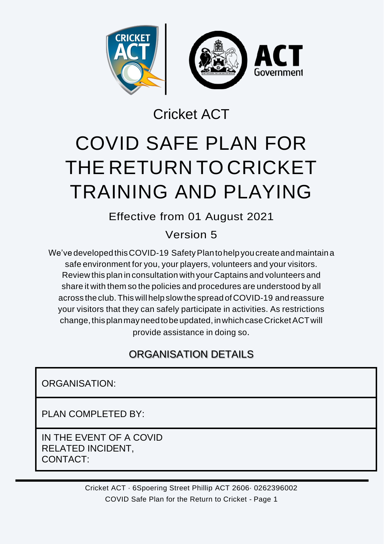

Cricket ACT

# COVID SAFE PLAN FOR THE RETURN TO CRICKET TRAINING AND PLAYING

Effective from 01 August 2021

Version 5

We've developed this COVID-19 Safety Plan to help you create and maintain a safe environment for you, your players, volunteers and your visitors. Review this plan in consultation with your Captains and volunteers and share it with them so the policies and procedures are understood by all across theclub. This will help slowthe spread ofCOVID-19 and reassure your visitors that they can safely participate in activities. As restrictions change,thisplanmayneedtobeupdated, inwhichcaseCricketACTwill provide assistance in doing so.

## ORGANISATION DETAILS

ORGANISATION:

PLAN COMPLETED BY:

IN THE EVENT OF A COVID RELATED INCIDENT, CONTACT:

> Cricket ACT · 6Spoering Street Phillip ACT 2606· 0262396002 COVID Safe Plan for the Return to Cricket - Page 1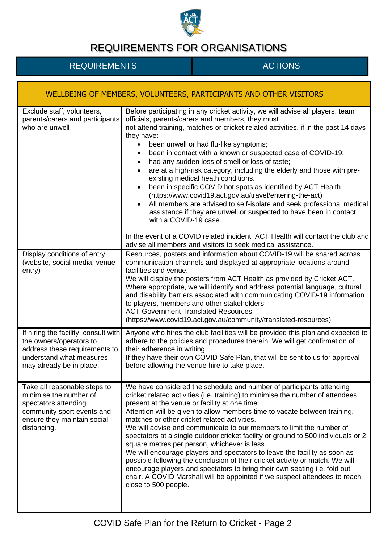

| WELLBEING OF MEMBERS, VOLUNTEERS, PARTICIPANTS AND OTHER VISITORS                                                                                          |                                                                                                                                                                                                                                                                                                                                                                                                                                                                                                                                                                                                                                                                                                                                                                                                                                                                                                                                                                         |
|------------------------------------------------------------------------------------------------------------------------------------------------------------|-------------------------------------------------------------------------------------------------------------------------------------------------------------------------------------------------------------------------------------------------------------------------------------------------------------------------------------------------------------------------------------------------------------------------------------------------------------------------------------------------------------------------------------------------------------------------------------------------------------------------------------------------------------------------------------------------------------------------------------------------------------------------------------------------------------------------------------------------------------------------------------------------------------------------------------------------------------------------|
| Exclude staff, volunteers,<br>parents/carers and participants<br>who are unwell                                                                            | Before participating in any cricket activity, we will advise all players, team<br>officials, parents/carers and members, they must<br>not attend training, matches or cricket related activities, if in the past 14 days<br>they have:<br>been unwell or had flu-like symptoms;<br>$\bullet$<br>been in contact with a known or suspected case of COVID-19;<br>$\bullet$<br>had any sudden loss of smell or loss of taste;<br>$\bullet$<br>are at a high-risk category, including the elderly and those with pre-<br>$\bullet$<br>existing medical heath conditions.<br>been in specific COVID hot spots as identified by ACT Health<br>$\bullet$<br>(https://www.covid19.act.gov.au/travel/entering-the-act)<br>All members are advised to self-isolate and seek professional medical<br>assistance if they are unwell or suspected to have been in contact<br>with a COVID-19 case.<br>In the event of a COVID related incident, ACT Health will contact the club and |
| Display conditions of entry<br>(website, social media, venue<br>entry)                                                                                     | advise all members and visitors to seek medical assistance.<br>Resources, posters and information about COVID-19 will be shared across<br>communication channels and displayed at appropriate locations around<br>facilities and venue.<br>We will display the posters from ACT Health as provided by Cricket ACT.<br>Where appropriate, we will identify and address potential language, cultural<br>and disability barriers associated with communicating COVID-19 information<br>to players, members and other stakeholders.<br><b>ACT Government Translated Resources</b><br>(https://www.covid19.act.gov.au/community/translated-resources)                                                                                                                                                                                                                                                                                                                        |
| If hiring the facility, consult with<br>the owners/operators to<br>address these requirements to<br>understand what measures<br>may already be in place.   | Anyone who hires the club facilities will be provided this plan and expected to<br>adhere to the policies and procedures therein. We will get confirmation of<br>their adherence in writing.<br>If they have their own COVID Safe Plan, that will be sent to us for approval<br>before allowing the venue hire to take place.                                                                                                                                                                                                                                                                                                                                                                                                                                                                                                                                                                                                                                           |
| Take all reasonable steps to<br>minimise the number of<br>spectators attending<br>community sport events and<br>ensure they maintain social<br>distancing. | We have considered the schedule and number of participants attending<br>cricket related activities (i.e. training) to minimise the number of attendees<br>present at the venue or facility at one time.<br>Attention will be given to allow members time to vacate between training,<br>matches or other cricket related activities.<br>We will advise and communicate to our members to limit the number of<br>spectators at a single outdoor cricket facility or ground to 500 individuals or 2<br>square metres per person, whichever is less.<br>We will encourage players and spectators to leave the facility as soon as<br>possible following the conclusion of their cricket activity or match. We will<br>encourage players and spectators to bring their own seating i.e. fold out<br>chair. A COVID Marshall will be appointed if we suspect attendees to reach<br>close to 500 people.                                                                      |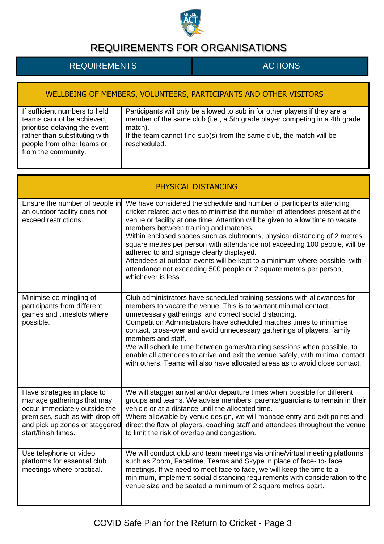

| WELLBEING OF MEMBERS, VOLUNTEERS, PARTICIPANTS AND OTHER VISITORS                                                                                                                  |                                                                                                                                                                                                                                                              |  |
|------------------------------------------------------------------------------------------------------------------------------------------------------------------------------------|--------------------------------------------------------------------------------------------------------------------------------------------------------------------------------------------------------------------------------------------------------------|--|
| If sufficient numbers to field<br>teams cannot be achieved,<br>prioritise delaying the event<br>rather than substituting with<br>people from other teams or<br>from the community. | Participants will only be allowed to sub in for other players if they are a<br>member of the same club (i.e., a 5th grade player competing in a 4th grade<br>match).<br>If the team cannot find sub(s) from the same club, the match will be<br>rescheduled. |  |

| PHYSICAL DISTANCING                                                                                                                                                                    |                                                                                                                                                                                                                                                                                                                                                                                                                                                                                                                                                                                                                                                                    |  |
|----------------------------------------------------------------------------------------------------------------------------------------------------------------------------------------|--------------------------------------------------------------------------------------------------------------------------------------------------------------------------------------------------------------------------------------------------------------------------------------------------------------------------------------------------------------------------------------------------------------------------------------------------------------------------------------------------------------------------------------------------------------------------------------------------------------------------------------------------------------------|--|
| Ensure the number of people in<br>an outdoor facility does not<br>exceed restrictions.                                                                                                 | We have considered the schedule and number of participants attending<br>cricket related activities to minimise the number of attendees present at the<br>venue or facility at one time. Attention will be given to allow time to vacate<br>members between training and matches.<br>Within enclosed spaces such as clubrooms, physical distancing of 2 metres<br>square metres per person with attendance not exceeding 100 people, will be<br>adhered to and signage clearly displayed.<br>Attendees at outdoor events will be kept to a minimum where possible, with<br>attendance not exceeding 500 people or 2 square metres per person,<br>whichever is less. |  |
| Minimise co-mingling of<br>participants from different<br>games and timeslots where<br>possible.                                                                                       | Club administrators have scheduled training sessions with allowances for<br>members to vacate the venue. This is to warrant minimal contact,<br>unnecessary gatherings, and correct social distancing.<br>Competition Administrators have scheduled matches times to minimise<br>contact, cross-over and avoid unnecessary gatherings of players, family<br>members and staff.<br>We will schedule time between games/training sessions when possible, to<br>enable all attendees to arrive and exit the venue safely, with minimal contact<br>with others. Teams will also have allocated areas as to avoid close contact.                                        |  |
| Have strategies in place to<br>manage gatherings that may<br>occur immediately outside the<br>premises, such as with drop off<br>and pick up zones or staggered<br>start/finish times. | We will stagger arrival and/or departure times when possible for different<br>groups and teams. We advise members, parents/guardians to remain in their<br>vehicle or at a distance until the allocated time.<br>Where allowable by venue design, we will manage entry and exit points and<br>direct the flow of players, coaching staff and attendees throughout the venue<br>to limit the risk of overlap and congestion.                                                                                                                                                                                                                                        |  |
| Use telephone or video<br>platforms for essential club<br>meetings where practical.                                                                                                    | We will conduct club and team meetings via online/virtual meeting platforms<br>such as Zoom, Facetime, Teams and Skype in place of face- to-face<br>meetings. If we need to meet face to face, we will keep the time to a<br>minimum, implement social distancing requirements with consideration to the<br>venue size and be seated a minimum of 2 square metres apart.                                                                                                                                                                                                                                                                                           |  |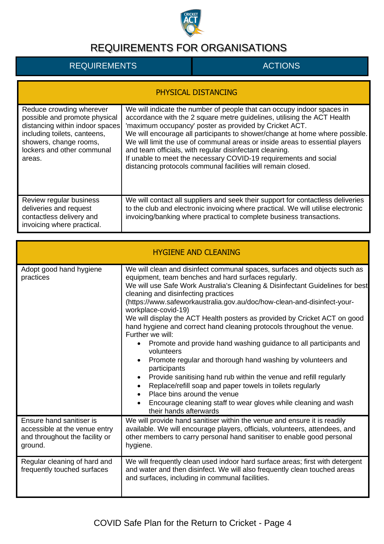

| <b>PHYSICAL DISTANCING</b>                                                                                                                                                                     |                                                                                                                                                                                                                                                                                                                                                                                                                                                                                                                                                                           |  |
|------------------------------------------------------------------------------------------------------------------------------------------------------------------------------------------------|---------------------------------------------------------------------------------------------------------------------------------------------------------------------------------------------------------------------------------------------------------------------------------------------------------------------------------------------------------------------------------------------------------------------------------------------------------------------------------------------------------------------------------------------------------------------------|--|
| Reduce crowding wherever<br>possible and promote physical<br>distancing within indoor spaces<br>including toilets, canteens,<br>showers, change rooms,<br>lockers and other communal<br>areas. | We will indicate the number of people that can occupy indoor spaces in<br>accordance with the 2 square metre guidelines, utilising the ACT Health<br>'maximum occupancy' poster as provided by Cricket ACT.<br>We will encourage all participants to shower/change at home where possible.<br>We will limit the use of communal areas or inside areas to essential players<br>and team officials, with regular disinfectant cleaning.<br>If unable to meet the necessary COVID-19 requirements and social<br>distancing protocols communal facilities will remain closed. |  |
| Review regular business<br>deliveries and request<br>contactless delivery and<br>invoicing where practical.                                                                                    | We will contact all suppliers and seek their support for contactless deliveries<br>to the club and electronic invoicing where practical. We will utilise electronic<br>invoicing/banking where practical to complete business transactions.                                                                                                                                                                                                                                                                                                                               |  |

| <b>HYGIENE AND CLEANING</b>                                                                            |                                                                                                                                                                                                                                                                                                                                                                                                                                                                                                                                                                                                                                                                                                                                                                                                                                                                                                                                                                                                               |  |
|--------------------------------------------------------------------------------------------------------|---------------------------------------------------------------------------------------------------------------------------------------------------------------------------------------------------------------------------------------------------------------------------------------------------------------------------------------------------------------------------------------------------------------------------------------------------------------------------------------------------------------------------------------------------------------------------------------------------------------------------------------------------------------------------------------------------------------------------------------------------------------------------------------------------------------------------------------------------------------------------------------------------------------------------------------------------------------------------------------------------------------|--|
| Adopt good hand hygiene<br>practices                                                                   | We will clean and disinfect communal spaces, surfaces and objects such as<br>equipment, team benches and hard surfaces regularly.<br>We will use Safe Work Australia's Cleaning & Disinfectant Guidelines for best<br>cleaning and disinfecting practices<br>(https://www.safeworkaustralia.gov.au/doc/how-clean-and-disinfect-your-<br>workplace-covid-19)<br>We will display the ACT Health posters as provided by Cricket ACT on good<br>hand hygiene and correct hand cleaning protocols throughout the venue.<br>Further we will:<br>Promote and provide hand washing guidance to all participants and<br>$\bullet$<br>volunteers<br>Promote regular and thorough hand washing by volunteers and<br>$\bullet$<br>participants<br>Provide sanitising hand rub within the venue and refill regularly<br>$\bullet$<br>Replace/refill soap and paper towels in toilets regularly<br>Place bins around the venue<br>Encourage cleaning staff to wear gloves while cleaning and wash<br>their hands afterwards |  |
| Ensure hand sanitiser is<br>accessible at the venue entry<br>and throughout the facility or<br>ground. | We will provide hand sanitiser within the venue and ensure it is readily<br>available. We will encourage players, officials, volunteers, attendees, and<br>other members to carry personal hand sanitiser to enable good personal<br>hygiene.                                                                                                                                                                                                                                                                                                                                                                                                                                                                                                                                                                                                                                                                                                                                                                 |  |
| Regular cleaning of hard and<br>frequently touched surfaces                                            | We will frequently clean used indoor hard surface areas; first with detergent<br>and water and then disinfect. We will also frequently clean touched areas<br>and surfaces, including in communal facilities.                                                                                                                                                                                                                                                                                                                                                                                                                                                                                                                                                                                                                                                                                                                                                                                                 |  |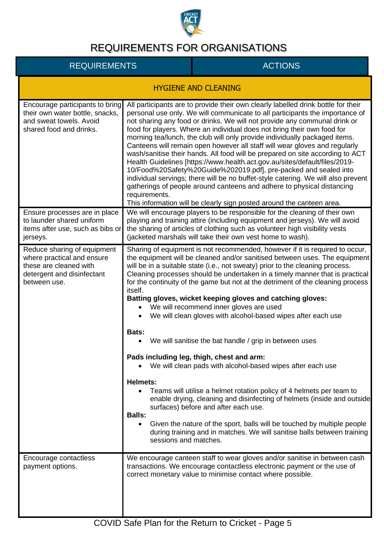

| <b>HYGIENE AND CLEANING</b>                                                                                                       |                                                                                                                                                                                                                                                                                                                                                                                                                                                                                                                                                                                                                                                                                                                                                                                                                                                                                                                                                                                                                                                                                                                                                                                                                                                      |
|-----------------------------------------------------------------------------------------------------------------------------------|------------------------------------------------------------------------------------------------------------------------------------------------------------------------------------------------------------------------------------------------------------------------------------------------------------------------------------------------------------------------------------------------------------------------------------------------------------------------------------------------------------------------------------------------------------------------------------------------------------------------------------------------------------------------------------------------------------------------------------------------------------------------------------------------------------------------------------------------------------------------------------------------------------------------------------------------------------------------------------------------------------------------------------------------------------------------------------------------------------------------------------------------------------------------------------------------------------------------------------------------------|
| Encourage participants to bring<br>their own water bottle, snacks,<br>and sweat towels. Avoid<br>shared food and drinks.          | All participants are to provide their own clearly labelled drink bottle for their<br>personal use only. We will communicate to all participants the importance of<br>not sharing any food or drinks. We will not provide any communal drink or<br>food for players. Where an individual does not bring their own food for<br>morning tea/lunch, the club will only provide individually packaged items.<br>Canteens will remain open however all staff will wear gloves and regularly<br>wash/sanitise their hands. All food will be prepared on site according to ACT<br>Health Guidelines [https://www.health.act.gov.au/sites/default/files/2019-<br>10/Food%20Safety%20Guide%202019.pdf], pre-packed and sealed into<br>individual servings; there will be no buffet-style catering. We will also prevent<br>gatherings of people around canteens and adhere to physical distancing<br>requirements.<br>This information will be clearly sign posted around the canteen area.                                                                                                                                                                                                                                                                    |
| Ensure processes are in place<br>to launder shared uniform<br>items after use, such as bibs or<br>jerseys.                        | We will encourage players to be responsible for the cleaning of their own<br>playing and training attire (including equipment and jerseys). We will avoid<br>the sharing of articles of clothing such as volunteer high visibility vests<br>(jacketed marshals will take their own vest home to wash).                                                                                                                                                                                                                                                                                                                                                                                                                                                                                                                                                                                                                                                                                                                                                                                                                                                                                                                                               |
| Reduce sharing of equipment<br>where practical and ensure<br>these are cleaned with<br>detergent and disinfectant<br>between use. | Sharing of equipment is not recommended, however if it is required to occur,<br>the equipment will be cleaned and/or sanitised between uses. The equipment<br>will be in a suitable state (i.e., not sweaty) prior to the cleaning process.<br>Cleaning processes should be undertaken in a timely manner that is practical<br>for the continuity of the game but not at the detriment of the cleaning process<br>itself.<br>Batting gloves, wicket keeping gloves and catching gloves:<br>We will recommend inner gloves are used<br>$\bullet$<br>We will clean gloves with alcohol-based wipes after each use<br>$\bullet$<br>Bats:<br>We will sanitise the bat handle / grip in between uses<br>$\bullet$<br>Pads including leg, thigh, chest and arm:<br>• We will clean pads with alcohol-based wipes after each use<br><b>Helmets:</b><br>Teams will utilise a helmet rotation policy of 4 helmets per team to<br>enable drying, cleaning and disinfecting of helmets (inside and outside<br>surfaces) before and after each use.<br><b>Balls:</b><br>Given the nature of the sport, balls will be touched by multiple people<br>$\bullet$<br>during training and in matches. We will sanitise balls between training<br>sessions and matches. |
| Encourage contactless<br>payment options.                                                                                         | We encourage canteen staff to wear gloves and/or sanitise in between cash<br>transactions. We encourage contactless electronic payment or the use of<br>correct monetary value to minimise contact where possible.                                                                                                                                                                                                                                                                                                                                                                                                                                                                                                                                                                                                                                                                                                                                                                                                                                                                                                                                                                                                                                   |